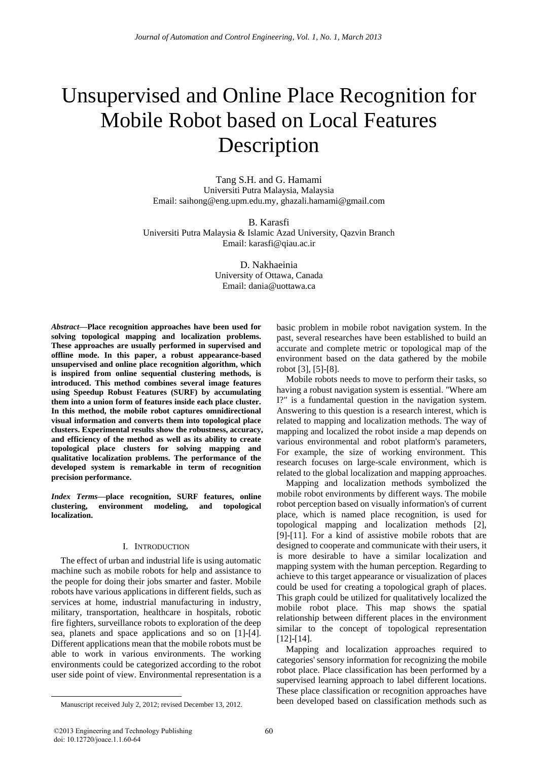# Unsupervised and Online Place Recognition for Mobile Robot based on Local Features Description

Tang S.H. and G. Hamami Universiti Putra Malaysia, Malaysia Email: saihong@eng.upm.edu.my, ghazali.hamami@gmail.com

B. Karasfi Universiti Putra Malaysia & Islamic Azad University, Qazvin Branch Email: karasfi@qiau.ac.ir

> D. Nakhaeinia University of Ottawa, Canada Email: dania@uottawa.ca

*Abstract***—Place recognition approaches have been used for solving topological mapping and localization problems. These approaches are usually performed in supervised and offline mode. In this paper, a robust appearance-based unsupervised and online place recognition algorithm, which is inspired from online sequential clustering methods, is introduced. This method combines several image features using Speedup Robust Features (SURF) by accumulating them into a union form of features inside each place cluster. In this method, the mobile robot captures omnidirectional visual information and converts them into topological place clusters. Experimental results show the robustness, accuracy, and efficiency of the method as well as its ability to create topological place clusters for solving mapping and qualitative localization problems. The performance of the developed system is remarkable in term of recognition precision performance.** 

*Index Terms***—place recognition, SURF features, online clustering, environment modeling, and topological localization.** 

# I. INTRODUCTION

The effect of urban and industrial life is using automatic machine such as mobile robots for help and assistance to the people for doing their jobs smarter and faster. Mobile robots have various applications in different fields, such as services at home, industrial manufacturing in industry, military, transportation, healthcare in hospitals, robotic fire fighters, surveillance robots to exploration of the deep sea, planets and space applications and so on [1]-[4]. Different applications mean that the mobile robots must be able to work in various environments. The working environments could be categorized according to the robot user side point of view. Environmental representation is a

Manuscript received July 2, 2012; revised December 13, 2012.

basic problem in mobile robot navigation system. In the past, several researches have been established to build an accurate and complete metric or topological map of the environment based on the data gathered by the mobile robot [3], [5]-[8].

Mobile robots needs to move to perform their tasks, so having a robust navigation system is essential. "Where am I?" is a fundamental question in the navigation system. Answering to this question is a research interest, which is related to mapping and localization methods. The way of mapping and localized the robot inside a map depends on various environmental and robot platform's parameters, For example, the size of working environment. This research focuses on large-scale environment, which is related to the global localization and mapping approaches.

Mapping and localization methods symbolized the mobile robot environments by different ways. The mobile robot perception based on visually information's of current place, which is named place recognition, is used for topological mapping and localization methods [2], [9]-[11]. For a kind of assistive mobile robots that are designed to cooperate and communicate with their users, it is more desirable to have a similar localization and mapping system with the human perception. Regarding to achieve to this target appearance or visualization of places could be used for creating a topological graph of places. This graph could be utilized for qualitatively localized the mobile robot place. This map shows the spatial relationship between different places in the environment similar to the concept of topological representation [12]-[14].

Mapping and localization approaches required to categories' sensory information for recognizing the mobile robot place. Place classification has been performed by a supervised learning approach to label different locations. These place classification or recognition approaches have been developed based on classification methods such as

 $\overline{a}$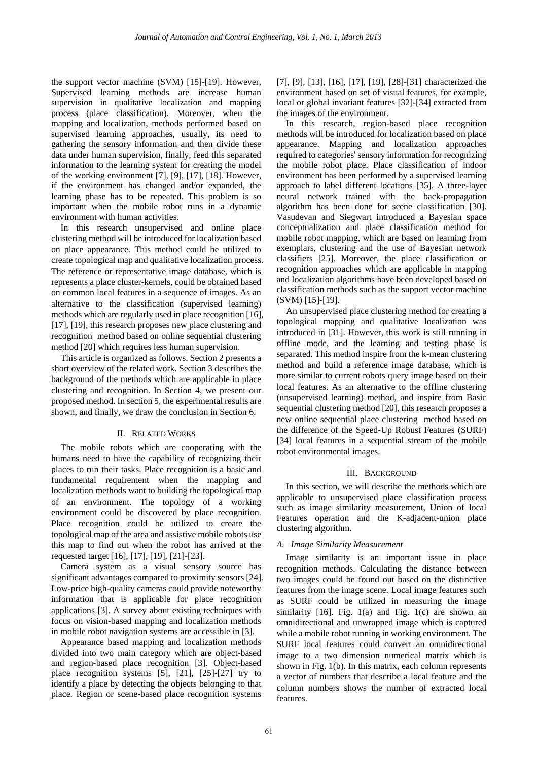the support vector machine (SVM) [15]-[19]. However, Supervised learning methods are increase human supervision in qualitative localization and mapping process (place classification). Moreover, when the mapping and localization, methods performed based on supervised learning approaches, usually, its need to gathering the sensory information and then divide these data under human supervision, finally, feed this separated information to the learning system for creating the model of the working environment [7], [9], [17], [18]. However, if the environment has changed and/or expanded, the learning phase has to be repeated. This problem is so important when the mobile robot runs in a dynamic environment with human activities.

In this research unsupervised and online place clustering method will be introduced for localization based on place appearance. This method could be utilized to create topological map and qualitative localization process. The reference or representative image database, which is represents a place cluster-kernels, could be obtained based on common local features in a sequence of images. As an alternative to the classification (supervised learning) methods which are regularly used in place recognition [16], [17], [19], this research proposes new place clustering and recognition method based on online sequential clustering method [20] which requires less human supervision.

This article is organized as follows. Section 2 presents a short overview of the related work. Section 3 describes the background of the methods which are applicable in place clustering and recognition. In Section 4, we present our proposed method. In section 5, the experimental results are shown, and finally, we draw the conclusion in Section 6.

# II. RELATED WORKS

The mobile robots which are cooperating with the humans need to have the capability of recognizing their places to run their tasks. Place recognition is a basic and fundamental requirement when the mapping and localization methods want to building the topological map of an environment. The topology of a working environment could be discovered by place recognition. Place recognition could be utilized to create the topological map of the area and assistive mobile robots use this map to find out when the robot has arrived at the requested target [16], [17], [19], [21]-[23].

Camera system as a visual sensory source has significant advantages compared to proximity sensors [24]. Low-price high-quality cameras could provide noteworthy information that is applicable for place recognition applications [3]. A survey about existing techniques with focus on vision-based mapping and localization methods in mobile robot navigation systems are accessible in [3].

Appearance based mapping and localization methods divided into two main category which are object-based and region-based place recognition [3]. Object-based place recognition systems [5], [21], [25]-[27] try to identify a place by detecting the objects belonging to that place. Region or scene-based place recognition systems [7], [9], [13], [16], [17], [19], [28]-[31] characterized the environment based on set of visual features, for example, local or global invariant features [32]-[34] extracted from the images of the environment.

In this research, region-based place recognition methods will be introduced for localization based on place appearance. Mapping and localization approaches required to categories' sensory information for recognizing the mobile robot place. Place classification of indoor environment has been performed by a supervised learning approach to label different locations [35]. A three-layer neural network trained with the back-propagation algorithm has been done for scene classification [30]. Vasudevan and Siegwart introduced a Bayesian space conceptualization and place classification method for mobile robot mapping, which are based on learning from exemplars, clustering and the use of Bayesian network classifiers [25]. Moreover, the place classification or recognition approaches which are applicable in mapping and localization algorithms have been developed based on classification methods such as the support vector machine (SVM) [15]-[19].

An unsupervised place clustering method for creating a topological mapping and qualitative localization was introduced in [31]. However, this work is still running in offline mode, and the learning and testing phase is separated. This method inspire from the k-mean clustering method and build a reference image database, which is more similar to current robots query image based on their local features. As an alternative to the offline clustering (unsupervised learning) method, and inspire from Basic sequential clustering method [20], this research proposes a new online sequential place clustering method based on the difference of the Speed-Up Robust Features (SURF) [34] local features in a sequential stream of the mobile robot environmental images.

# III. BACKGROUND

In this section, we will describe the methods which are applicable to unsupervised place classification process such as image similarity measurement, Union of local Features operation and the K-adjacent-union place clustering algorithm.

#### *A. Image Similarity Measurement*

Image similarity is an important issue in place recognition methods. Calculating the distance between two images could be found out based on the distinctive features from the image scene. Local image features such as SURF could be utilized in measuring the image similarity [16]. Fig. 1(a) and Fig. 1(c) are shown an omnidirectional and unwrapped image which is captured while a mobile robot running in working environment. The SURF local features could convert an omnidirectional image to a two dimension numerical matrix which is shown in Fig. 1(b). In this matrix, each column represents a vector of numbers that describe a local feature and the column numbers shows the number of extracted local features.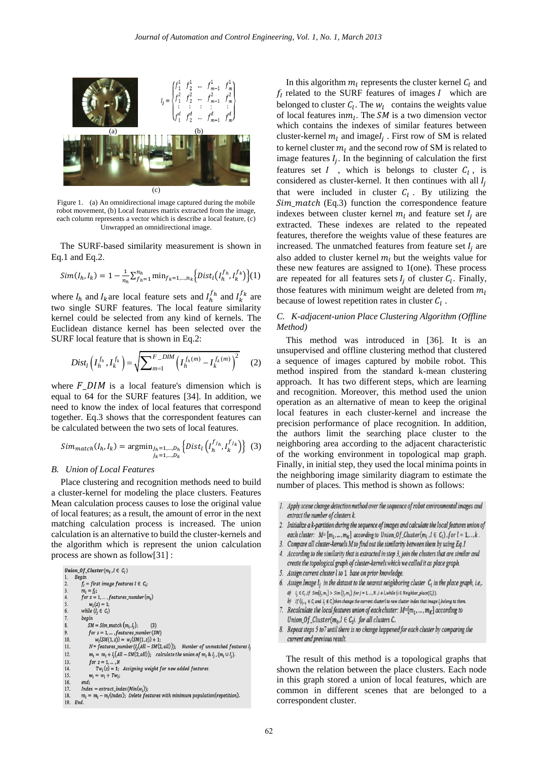

Figure 1. (a) An omnidirectional image captured during the mobile robot movement, (b) Local features matrix extracted from the image, each column represents a vector which is describe a local feature, (c) Unwrapped an omnidirectional image.

The SURF-based similarity measurement is shown in Eq.1 and Eq.2.

$$
Sim(I_h, I_k) = 1 - \frac{1}{n_h} \sum_{f_h=1}^{n_h} \min_{f_k=1,\dots,n_k} \Big\{ Dist_l(I_h^{f_h}, I_k^{f_k}) \Big\} (1)
$$

where  $I_h$  and  $I_k$  are local feature sets and  $I_h^{f_h}$  and  $I_k^{f_k}$  are two single SURF features. The local feature similarity kernel could be selected from any kind of kernels. The Euclidean distance kernel has been selected over the SURF local feature that is shown in Eq.2:

$$
Dist_{l}\left(I_{h}^{f_{h}}, I_{k}^{f_{k}}\right) = \sqrt{\sum_{m=1}^{F-DIM} \left(I_{h}^{f_{h}(m)} - I_{k}^{f_{k}(m)}\right)^{2}} \tag{2}
$$

where  $F_D/M$  is a local feature's dimension which is equal to 64 for the SURF features [34]. In addition, we need to know the index of local features that correspond together. Eq.3 shows that the correspondent features can be calculated between the two sets of local features.

$$
Sim_{match}(I_h, I_k) = \underset{j_k=1,\dots,D_k}{\text{argmin}} \{ Dist_l \left( I_h^{f_{j_h}}, I_k^{f_{j_k}} \right) \} \tag{3}
$$

## *B. Union of Local Features*

Place clustering and recognition methods need to build a cluster-kernel for modeling the place clusters. Features Mean calculation process causes to lose the original value of local features; as a result, the amount of error in the next matching calculation process is increased. The union calculation is an alternative to build the cluster-kernels and the algorithm which is represent the union calculation process are shown as follow[31] :

```
Union_Of_Cluster(m_i, I \in C_i)Begin
              f_l = first image features I \in C<sub>i</sub>;
 \overline{2}\begin{array}{l} m_l = f_l;\\ for\ z=1,\ldots\ , features\_number\left( m_l \right) \end{array}\begin{array}{c} 5. \\ 6. \end{array}w_1(z) = 1:
               while (I_j \in C_i)\overline{7}.
              begin
                   SM = Sim\_match(m_i, l_j);\overline{\mathbf{8}}\begin{array}{l} for\ z=1,\dots, features\_number(SM)\\ w_l(SM(1,z))=w_l(SM(1,z))+1;\\ N=features\_number(I_j\big(All-SM(2,all)\big));\quad\textit{Number of unmatched features I}, \end{array}\frac{9}{10}\overline{11}m_l = m_l + l_j(All - SM(2, all)); calculate the union of m_l \& l_j, (m_l \cup l_j).
12\begin{array}{l} for\ z=1,\dots,N\\ \Gamma w_i(z)=1;\quad \  \  \text{assigning weight for new added features} \end{array}13\overline{14}15
                     w_l = w_l + Tw_l;16
              end:
              Index = extract\_index(Min(w_l));m_l = m_l - m_l (Index) , Delete features with minimum population<br>(repetition).
18
19. End
```
In this algorithm  $m_l$  represents the cluster kernel  $C_l$  and  $f_I$  related to the SURF features of images I which are belonged to cluster  $C_l$ . The  $w_l$  contains the weights value of local features in  $m_l$ . The SM is a two dimension vector which contains the indexes of similar features between cluster-kernel  $m_l$  and imagel<sub>i</sub>. First row of SM is related to kernel cluster  $m_l$  and the second row of SM is related to image features  $I_i$ . In the beginning of calculation the first features set  $I$ , which is belongs to cluster  $C_l$ , is considered as cluster-kernel. It then continues with all  $I_i$ that were included in cluster  $C_l$ . By utilizing the  $Sim\_match$  (Eq.3) function the correspondence feature indexes between cluster kernel  $m_l$  and feature set  $I_i$  are extracted. These indexes are related to the repeated features, therefore the weights value of these features are increased. The unmatched features from feature set  $I_i$  are also added to cluster kernel  $m_l$  but the weights value for these new features are assigned to 1(one). These process are repeated for all features sets  $I_i$  of cluster  $C_i$ . Finally, those features with minimum weight are deleted from  $m_l$ because of lowest repetition rates in cluster  $C_l$ .

# *C. K-adjacent-union Place Clustering Algorithm (Offline Method)*

This method was introduced in [36]. It is an unsupervised and offline clustering method that clustered a sequence of images captured by mobile robot. This method inspired from the standard k-mean clustering approach. It has two different steps, which are learning and recognition. Moreover, this method used the union operation as an alternative of mean to keep the original local features in each cluster-kernel and increase the precision performance of place recognition. In addition, the authors limit the searching place cluster to the neighboring area according to the adjacent characteristic of the working environment in topological map graph. Finally, in initial step, they used the local minima points in the neighboring image similarity diagram to estimate the number of places. This method is shown as follows:

- 2. Initialize a k-partition during the sequence of images and calculate the local features union of each cluster:  $M = [m_1, ..., m_K]$  according to Union Of Cluster( $m_l$ ,  $l \in C_l$ ), for  $l = 1, ..., k$ .
- 3. Compare all cluster-kernels M to find out the similarity between them by using Eq.1
- 4. According to the similarity that is extracted in step 3, join the clusters that are similar and create the topological graph of cluster-kernels which we called it as place graph.
- 5. Assign current cluster l to 1 base on prior knowledge.
- 6. Assign Image I; in the dataset to the nearest neighboring cluster  $C_1$  in the place graph, i.e., a)  $l_i \in C_i$ , if  $Sim(l, m_i) > Sim(l_i, m_i)$  for  $j = 1, ..., N$ ,  $i \neq l$ , while  $(i \in Neighbour\_place(C_i))$ . b) If  $(l_{j-1} \in C_i$  and  $l_j \in C_j$ ) then change the current cluster it to new cluster index that image  $l_j$  belong to them.
- 7. Recalculate the local features union of each cluster:  $M=[m_1, ..., m_K]$  according to Union\_Of\_Cluster( $m_l$ ,  $l \in C_l$ ). for all clusters C.
- 8. Repeat steps 5 to7 until there is no change happened for each cluster by comparing the current and previous result.

The result of this method is a topological graphs that shown the relation between the place clusters. Each node in this graph stored a union of local features, which are common in different scenes that are belonged to a correspondent cluster.

<sup>1.</sup> Apply scene change detection method over the sequence of robot environmental images and extract the number of clusters k.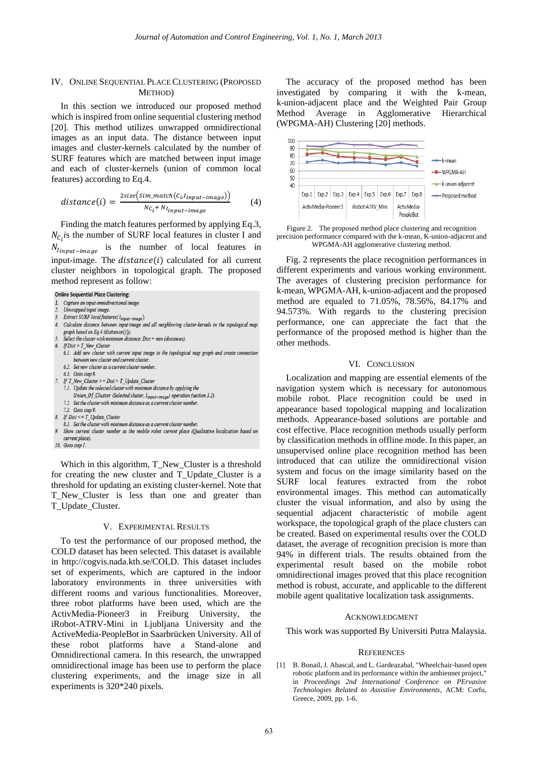#### IV. ONLINE SEQUENTIAL PLACE CLUSTERING (PROPOSED METHOD)

In this section we introduced our proposed method which is inspired from online sequential clustering method [20]. This method utilizes unwrapped omnidirectional images as an input data. The distance between input images and cluster-kernels calculated by the number of SURF features which are matched between input image and each of cluster-kernels (union of common local features) according to Eq.4.

$$
distance(i) = \frac{2size\left(sim\_match(C_i.l_{input-image})\right)}{Nc_i + N_{input-image}} \tag{4}
$$

Finding the match features performed by applying Eq.3,  $N_{C_i}$  is the number of SURF local features in cluster I and  $N_{I_{input}-imaae}$  is the number of local features in input-image. The  $distance(i)$  calculated for all current cluster neighbors in topological graph. The proposed method represent as follow:

# **Online Sequential Place Clustering:**

- 1. Capture an input omnidirectional image
- Unwrapped input image.
- Extract SURF local features ( l<sub>input-image</sub>).
- Calculate distance between input-image and all neighboring cluster-kernels in the topological map graph based on Eq. 4 (distance  $(i)$ ).
- Select the cluster with minimum distance:  $Dist = min$  (distances).
- $If Dist > T_New_C cluster$
- 6.1. Add new cluster with current input image to the topological map graph and create connection between new cluster and current cluster 6.2. Set new cluster as a current cluster number
- 6.3. Goto step 9.
- 
- 7. If  $T_{\_}New_{\_}Cluster$  >= Dist >  $T_{\_}Update_{\_}Cluster$ 7.1. Update the selected cluster with minimum distance by applying the
	- $\label{eq:union_of_} Union\_Of\_Cluster~(Selected~cluster, ~I_{input-image})~ operation~(section~3.2).$
	- 7.2. Set the cluster with minimum distance as a current cluster number.
- 7.3. Goto step 9.
- 8. If  $Dist \le T\_Update\_Cluster$
- 8.1. Set the cluster with minimum distance as a current cluster number.
- Show current cluster number as the mobile robot current place (Qualitative localization based on current place).
- 10. Goto step 1.

Which in this algorithm, T\_New\_Cluster is a threshold for creating the new cluster and T\_Update\_Cluster is a threshold for updating an existing cluster-kernel. Note that T\_New\_Cluster is less than one and greater than T\_Update\_Cluster.

#### V. EXPERIMENTAL RESULTS

To test the performance of our proposed method, the COLD dataset has been selected. This dataset is available in http://cogvis.nada.kth.se/COLD. This dataset includes set of experiments, which are captured in the indoor laboratory environments in three universities with different rooms and various functionalities. Moreover, three robot platforms have been used, which are the ActivMedia-Pioneer3 in Freiburg University, the iRobot-ATRV-Mini in Ljubljana University and the ActiveMedia-PeopleBot in Saarbrücken University. All of these robot platforms have a Stand-alone and Omnidirectional camera. In this research, the unwrapped omnidirectional image has been use to perform the place clustering experiments, and the image size in all experiments is 320\*240 pixels.

The accuracy of the proposed method has been investigated by comparing it with the k-mean, k-union-adjacent place and the Weighted Pair Group Method Average in Agglomerative Hierarchical (WPGMA-AH) Clustering [20] methods.





Fig. 2 represents the place recognition performances in different experiments and various working environment. The averages of clustering precision performance for k-mean, WPGMA-AH, k-union-adjacent and the proposed method are equaled to 71.05%, 78.56%, 84.17% and 94.573%. With regards to the clustering precision performance, one can appreciate the fact that the performance of the proposed method is higher than the other methods.

## VI. CONCLUSION

Localization and mapping are essential elements of the navigation system which is necessary for autonomous mobile robot. Place recognition could be used in appearance based topological mapping and localization methods. Appearance-based solutions are portable and cost effective. Place recognition methods usually perform by classification methods in offline mode. In this paper, an unsupervised online place recognition method has been introduced that can utilize the omnidirectional vision system and focus on the image similarity based on the SURF local features extracted from the robot environmental images. This method can automatically cluster the visual information, and also by using the sequential adjacent characteristic of mobile agent workspace, the topological graph of the place clusters can be created. Based on experimental results over the COLD dataset, the average of recognition precision is more than 94% in different trials. The results obtained from the experimental result based on the mobile robot omnidirectional images proved that this place recognition method is robust, accurate, and applicable to the different mobile agent qualitative localization task assignments.

#### ACKNOWLEDGMENT

This work was supported By Universiti Putra Malaysia.

#### **REFERENCES**

[1] B. Bonail, J. Abascal, and L. Gardeazabal, "Wheelchair-based open robotic platform and its performance within the ambiennet project," in *Proceedings 2nd International Conference on PErvasive Technologies Related to Assistive Environments*, ACM: Corfu, Greece, 2009, pp. 1-6.